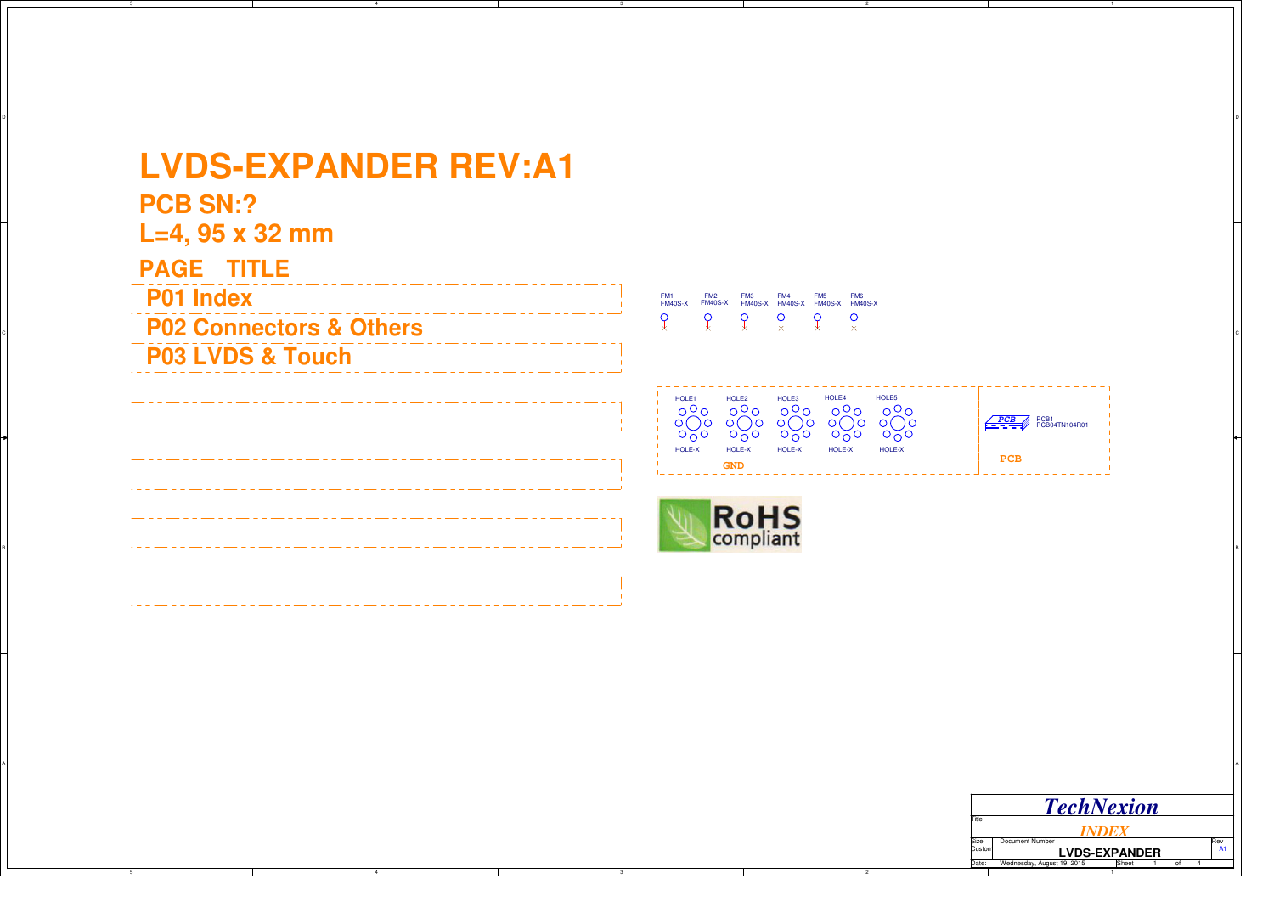## **LVDS-EXPANDER REV:A1**

**PCB SN:?**

C

B

A

5

**L=4, 95 x 32 mm**

dentity of the **P02 Connectors & Others** the contractor of the set of the contractors  $\mathbb{R}$  of the set of the contractors  $\mathbb{R}$ **P01 IndexPAGE TITLE P03 LVDS & Touch**

<sup>B</sup>

4

FM6 FM40S-XFM5 FM40S-XFM2 FM40S-XFM4 FM40S-XFM1 FM40S-XFM3 FM40S-X $\overline{Q}$  $\sqrt{ }$  $\overline{Q}$  $\mathcal{L}$  $\mathcal{Q}$  $\mathcal{Q}$ 

HOLE3

**PCB**HOLE5 HOLE-X**PCB** PCB1<br>PCB04TN104R01 HOLE-XHOLE-X HOLE4

2

**GND**

HOLE-X

HOLE2

HOLE1

HOLE-X

3

A POSTAGE A POSTAGE A POSTAGE A POSTAGE A POSTAGE A POSTAGE A POSTAGE A POSTAGE A POSTAGE A POSTAGE A POSTAGE A

ol and the contract of the contract of the contract of the contract of the contract of the contract of the contract of the contract of the contract of the contract of the contract of the contract of the contract of the con

|        | <b>TechNexion</b>                   |   |     |
|--------|-------------------------------------|---|-----|
| Title  |                                     |   |     |
| Size   | Document Number                     |   | Rev |
| Custom | <b>LVDS-EXPANDER</b>                |   |     |
| Date:  | Wednesday, August 19, 2015<br>Sheet | n |     |
|        |                                     |   |     |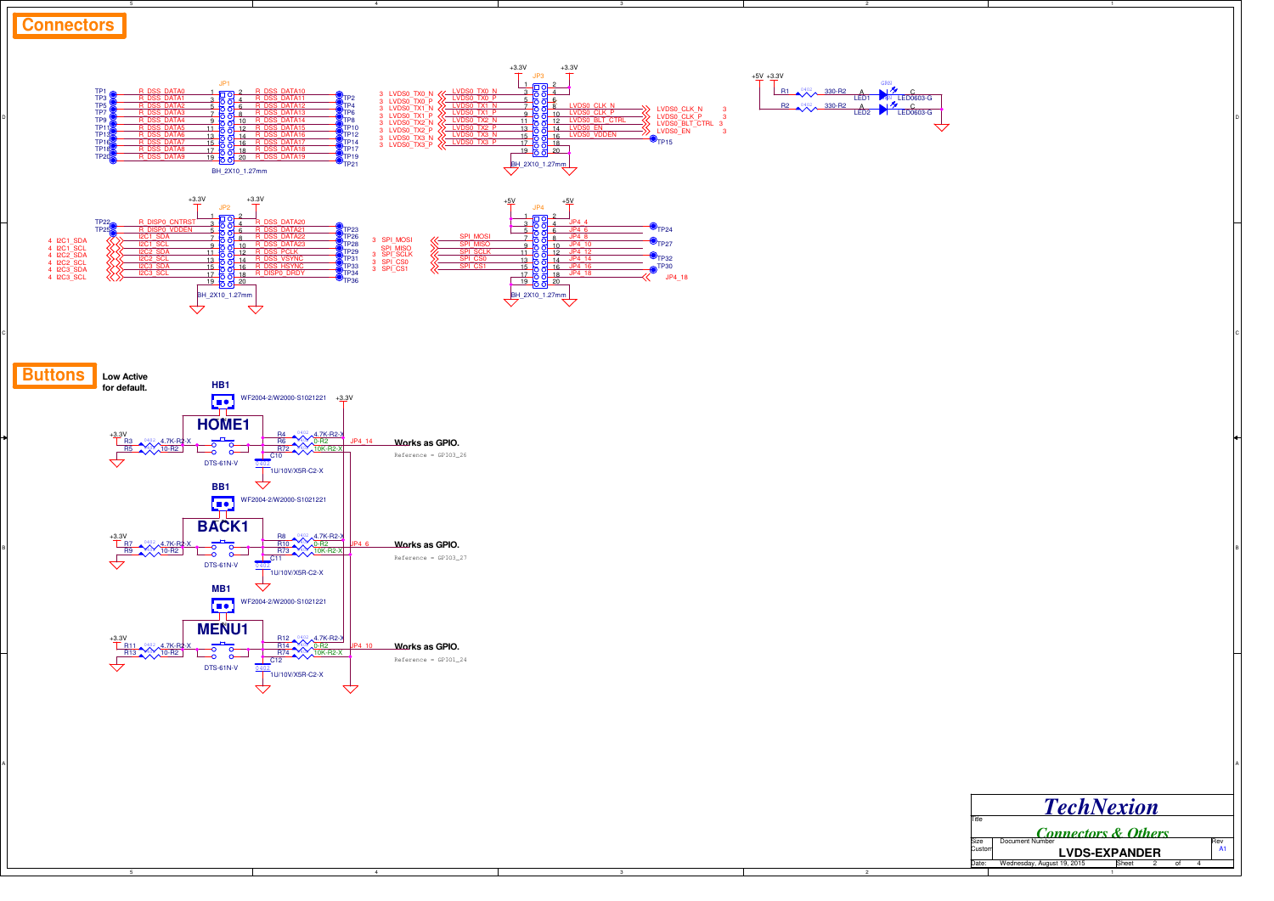

3

A POSTAGE A POSTAGE A POSTAGE A POSTAGE A POSTAGE A POSTAGE A POSTAGE A POSTAGE A POSTAGE A POSTAGE A POSTAGE A

5

 $+3.3V$ 

R11 <sup>0402</sup> 4.7K-R2-X<br>R13 10-R2

**MENU1**

5N

DTS-61N-V

 $\frac{1}{0402}$ C12 1U/10V/X5R-C2-X

WF2004-2/W2000-S1021221

R12 4.7K-R2-X<br>R14 4.02 0-R2<br>R74 4.02 10K-R2-X

A

4

JP4\_10

↽

**Works as GPIO.**

Reference = GPIO1\_24

|        | <b>TechNexion</b>              |     |
|--------|--------------------------------|-----|
| Title  |                                |     |
|        | <b>Connectors &amp; Others</b> |     |
| Size   | Document Number                | Rev |
|        |                                |     |
| Custom | <b>LVDS-EXPANDER</b>           | A1  |

2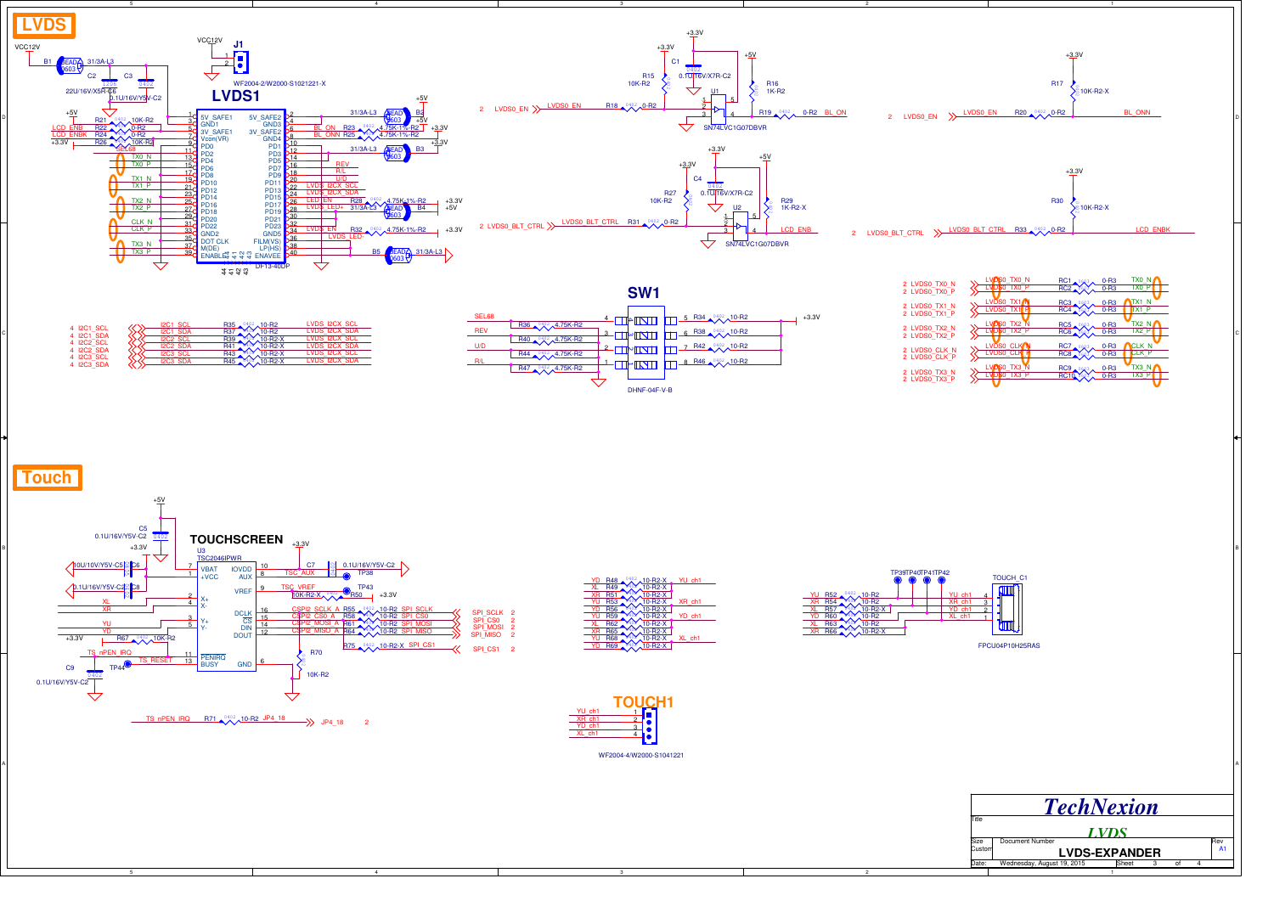